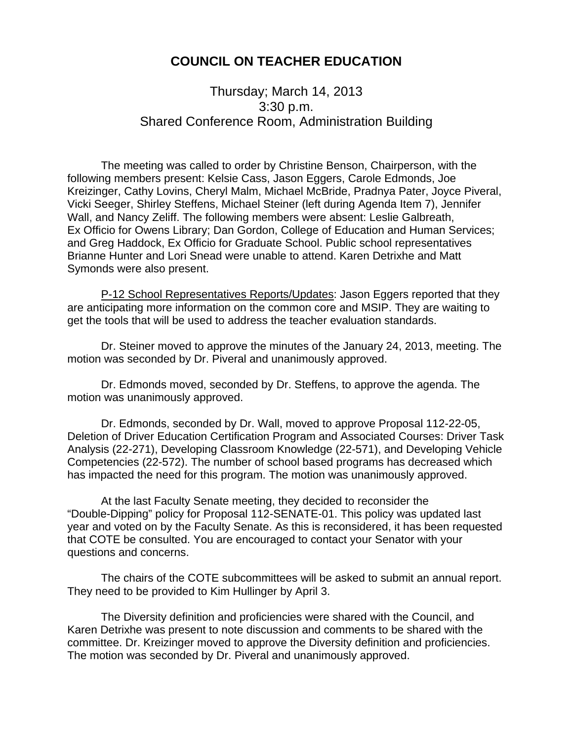## **COUNCIL ON TEACHER EDUCATION**

## Thursday; March 14, 2013 3:30 p.m. Shared Conference Room, Administration Building

 The meeting was called to order by Christine Benson, Chairperson, with the following members present: Kelsie Cass, Jason Eggers, Carole Edmonds, Joe Kreizinger, Cathy Lovins, Cheryl Malm, Michael McBride, Pradnya Pater, Joyce Piveral, Vicki Seeger, Shirley Steffens, Michael Steiner (left during Agenda Item 7), Jennifer Wall, and Nancy Zeliff. The following members were absent: Leslie Galbreath, Ex Officio for Owens Library; Dan Gordon, College of Education and Human Services; and Greg Haddock, Ex Officio for Graduate School. Public school representatives Brianne Hunter and Lori Snead were unable to attend. Karen Detrixhe and Matt Symonds were also present.

 P-12 School Representatives Reports/Updates: Jason Eggers reported that they are anticipating more information on the common core and MSIP. They are waiting to get the tools that will be used to address the teacher evaluation standards.

 Dr. Steiner moved to approve the minutes of the January 24, 2013, meeting. The motion was seconded by Dr. Piveral and unanimously approved.

 Dr. Edmonds moved, seconded by Dr. Steffens, to approve the agenda. The motion was unanimously approved.

Dr. Edmonds, seconded by Dr. Wall, moved to approve Proposal 112-22-05, Deletion of Driver Education Certification Program and Associated Courses: Driver Task Analysis (22-271), Developing Classroom Knowledge (22-571), and Developing Vehicle Competencies (22-572). The number of school based programs has decreased which has impacted the need for this program. The motion was unanimously approved.

 At the last Faculty Senate meeting, they decided to reconsider the "Double-Dipping" policy for Proposal 112-SENATE-01. This policy was updated last year and voted on by the Faculty Senate. As this is reconsidered, it has been requested that COTE be consulted. You are encouraged to contact your Senator with your questions and concerns.

 The chairs of the COTE subcommittees will be asked to submit an annual report. They need to be provided to Kim Hullinger by April 3.

 The Diversity definition and proficiencies were shared with the Council, and Karen Detrixhe was present to note discussion and comments to be shared with the committee. Dr. Kreizinger moved to approve the Diversity definition and proficiencies. The motion was seconded by Dr. Piveral and unanimously approved.